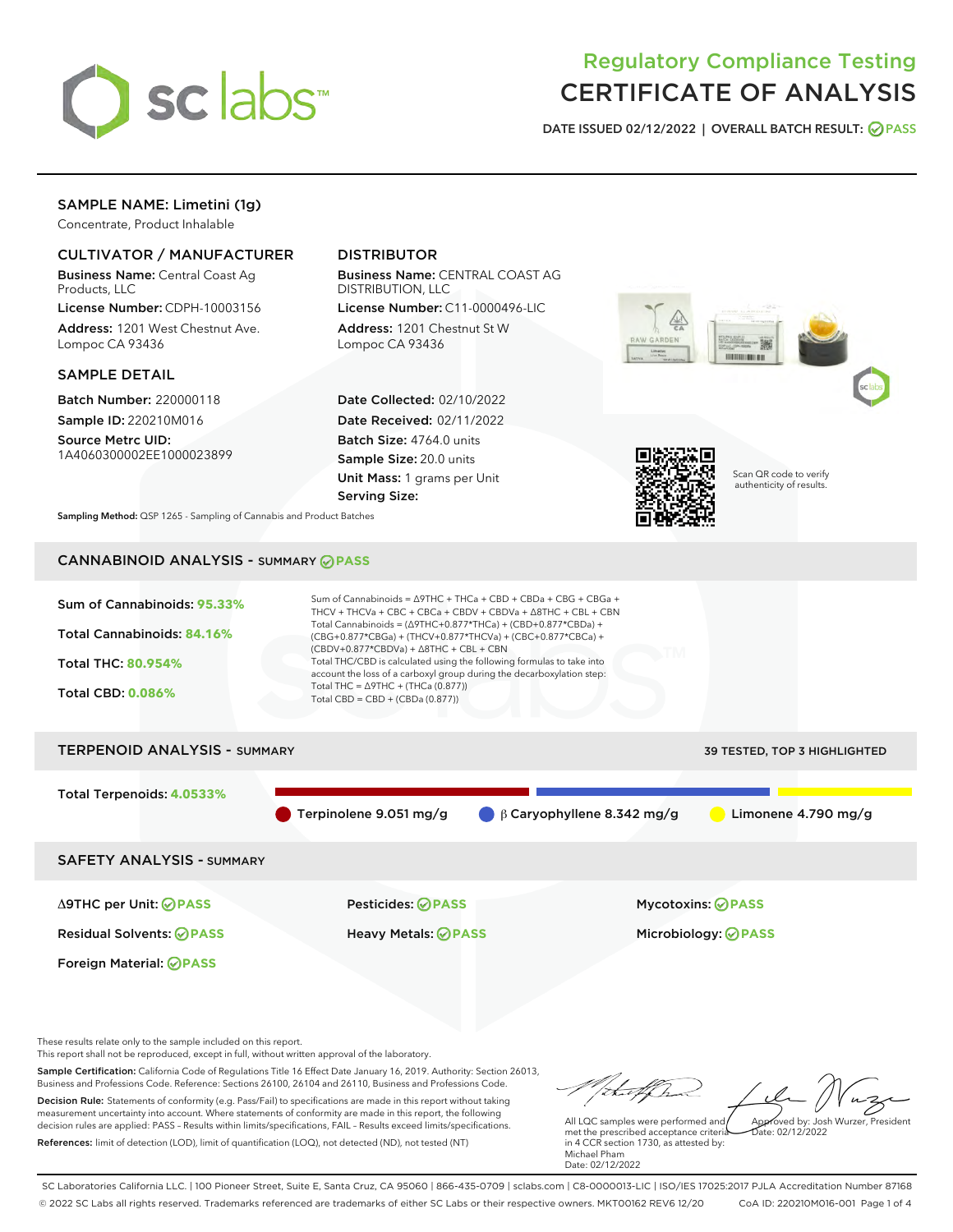

# Regulatory Compliance Testing CERTIFICATE OF ANALYSIS

DATE ISSUED 02/12/2022 | OVERALL BATCH RESULT: @ PASS

# SAMPLE NAME: Limetini (1g)

Concentrate, Product Inhalable

# CULTIVATOR / MANUFACTURER

Business Name: Central Coast Ag Products, LLC

License Number: CDPH-10003156 Address: 1201 West Chestnut Ave. Lompoc CA 93436

# SAMPLE DETAIL

Batch Number: 220000118 Sample ID: 220210M016

Source Metrc UID: 1A4060300002EE1000023899

# DISTRIBUTOR

Business Name: CENTRAL COAST AG DISTRIBUTION, LLC

License Number: C11-0000496-LIC Address: 1201 Chestnut St W Lompoc CA 93436

Date Collected: 02/10/2022 Date Received: 02/11/2022 Batch Size: 4764.0 units Sample Size: 20.0 units Unit Mass: 1 grams per Unit Serving Size:





Scan QR code to verify authenticity of results.

Sampling Method: QSP 1265 - Sampling of Cannabis and Product Batches

# CANNABINOID ANALYSIS - SUMMARY **PASS**

| Sum of Cannabinoids: 95.33% | Sum of Cannabinoids = $\triangle$ 9THC + THCa + CBD + CBDa + CBG + CBGa +<br>THCV + THCVa + CBC + CBCa + CBDV + CBDVa + $\Delta$ 8THC + CBL + CBN                                      |
|-----------------------------|----------------------------------------------------------------------------------------------------------------------------------------------------------------------------------------|
| Total Cannabinoids: 84.16%  | Total Cannabinoids = $(\Delta 9THC + 0.877*THCa) + (CBD+0.877*CBDa) +$<br>(CBG+0.877*CBGa) + (THCV+0.877*THCVa) + (CBC+0.877*CBCa) +<br>$(CBDV+0.877*CBDVa) + \Delta 8THC + CBL + CBN$ |
| <b>Total THC: 80.954%</b>   | Total THC/CBD is calculated using the following formulas to take into<br>account the loss of a carboxyl group during the decarboxylation step:                                         |
| <b>Total CBD: 0.086%</b>    | Total THC = $\triangle$ 9THC + (THCa (0.877))<br>Total CBD = $CBD + (CBDa (0.877))$                                                                                                    |
|                             |                                                                                                                                                                                        |

# TERPENOID ANALYSIS - SUMMARY 39 TESTED, TOP 3 HIGHLIGHTED Total Terpenoids: **4.0533%** Terpinolene 9.051 mg/g β Caryophyllene 8.342 mg/g Limonene 4.790 mg/g SAFETY ANALYSIS - SUMMARY

Δ9THC per Unit: **PASS** Pesticides: **PASS** Mycotoxins: **PASS**

Foreign Material: **PASS**

Residual Solvents: **PASS** Heavy Metals: **PASS** Microbiology: **PASS**

These results relate only to the sample included on this report.

This report shall not be reproduced, except in full, without written approval of the laboratory.

Sample Certification: California Code of Regulations Title 16 Effect Date January 16, 2019. Authority: Section 26013, Business and Professions Code. Reference: Sections 26100, 26104 and 26110, Business and Professions Code. Decision Rule: Statements of conformity (e.g. Pass/Fail) to specifications are made in this report without taking measurement uncertainty into account. Where statements of conformity are made in this report, the following

References: limit of detection (LOD), limit of quantification (LOQ), not detected (ND), not tested (NT)

decision rules are applied: PASS – Results within limits/specifications, FAIL – Results exceed limits/specifications.

Approved by: Josh Wurzer, President

 $ate: 02/12/2022$ 

All LQC samples were performed and met the prescribed acceptance criteria in 4 CCR section 1730, as attested by: Michael Pham Date: 02/12/2022

SC Laboratories California LLC. | 100 Pioneer Street, Suite E, Santa Cruz, CA 95060 | 866-435-0709 | sclabs.com | C8-0000013-LIC | ISO/IES 17025:2017 PJLA Accreditation Number 87168 © 2022 SC Labs all rights reserved. Trademarks referenced are trademarks of either SC Labs or their respective owners. MKT00162 REV6 12/20 CoA ID: 220210M016-001 Page 1 of 4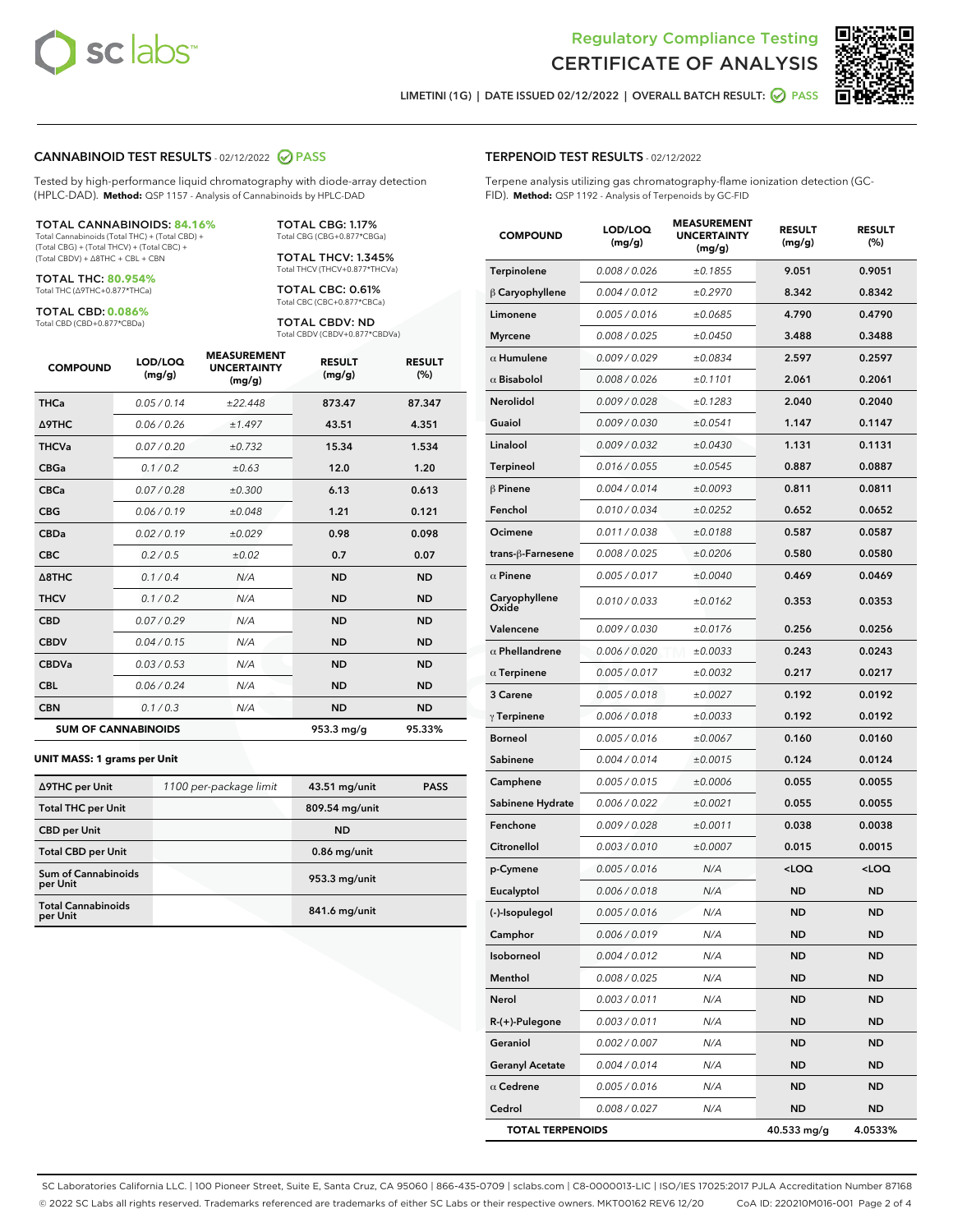

Terpene analysis utilizing gas chromatography-flame ionization detection (GC-



LIMETINI (1G) | DATE ISSUED 02/12/2022 | OVERALL BATCH RESULT:  $\bigcirc$  PASS

FID). **Method:** QSP 1192 - Analysis of Terpenoids by GC-FID

TERPENOID TEST RESULTS - 02/12/2022

# CANNABINOID TEST RESULTS - 02/12/2022 2 PASS

Tested by high-performance liquid chromatography with diode-array detection (HPLC-DAD). **Method:** QSP 1157 - Analysis of Cannabinoids by HPLC-DAD

#### TOTAL CANNABINOIDS: **84.16%**

Total Cannabinoids (Total THC) + (Total CBD) + (Total CBG) + (Total THCV) + (Total CBC) + (Total CBDV) + ∆8THC + CBL + CBN

TOTAL THC: **80.954%** Total THC (∆9THC+0.877\*THCa)

TOTAL CBD: **0.086%**

Total CBD (CBD+0.877\*CBDa)

TOTAL CBG: 1.17% Total CBG (CBG+0.877\*CBGa)

TOTAL THCV: 1.345% Total THCV (THCV+0.877\*THCVa)

TOTAL CBC: 0.61% Total CBC (CBC+0.877\*CBCa)

TOTAL CBDV: ND Total CBDV (CBDV+0.877\*CBDVa)

| <b>COMPOUND</b>  | LOD/LOQ<br>(mg/g)          | <b>MEASUREMENT</b><br><b>UNCERTAINTY</b><br>(mg/g) | <b>RESULT</b><br>(mg/g) | <b>RESULT</b><br>(%) |
|------------------|----------------------------|----------------------------------------------------|-------------------------|----------------------|
| <b>THCa</b>      | 0.05 / 0.14                | ±22.448                                            | 873.47                  | 87.347               |
| <b>A9THC</b>     | 0.06 / 0.26                | ±1.497                                             | 43.51                   | 4.351                |
| <b>THCVa</b>     | 0.07 / 0.20                | ±0.732                                             | 15.34                   | 1.534                |
| <b>CBGa</b>      | 0.1/0.2                    | ±0.63                                              | 12.0                    | 1.20                 |
| <b>CBCa</b>      | 0.07/0.28                  | ±0.300                                             | 6.13                    | 0.613                |
| <b>CBG</b>       | 0.06/0.19                  | ±0.048                                             | 1.21                    | 0.121                |
| <b>CBDa</b>      | 0.02/0.19                  | ±0.029                                             | 0.98                    | 0.098                |
| <b>CBC</b>       | 0.2 / 0.5                  | ±0.02                                              | 0.7                     | 0.07                 |
| $\triangle$ 8THC | 0.1/0.4                    | N/A                                                | <b>ND</b>               | <b>ND</b>            |
| <b>THCV</b>      | 0.1/0.2                    | N/A                                                | <b>ND</b>               | <b>ND</b>            |
| <b>CBD</b>       | 0.07/0.29                  | N/A                                                | <b>ND</b>               | <b>ND</b>            |
| <b>CBDV</b>      | 0.04 / 0.15                | N/A                                                | <b>ND</b>               | <b>ND</b>            |
| <b>CBDVa</b>     | 0.03 / 0.53                | N/A                                                | <b>ND</b>               | <b>ND</b>            |
| <b>CBL</b>       | 0.06 / 0.24                | N/A                                                | <b>ND</b>               | <b>ND</b>            |
| <b>CBN</b>       | 0.1/0.3                    | N/A                                                | <b>ND</b>               | <b>ND</b>            |
|                  | <b>SUM OF CANNABINOIDS</b> | 953.3 mg/g                                         | 95.33%                  |                      |

#### **UNIT MASS: 1 grams per Unit**

| ∆9THC per Unit                        | 1100 per-package limit | 43.51 mg/unit  | <b>PASS</b> |
|---------------------------------------|------------------------|----------------|-------------|
| <b>Total THC per Unit</b>             |                        | 809.54 mg/unit |             |
| <b>CBD</b> per Unit                   |                        | <b>ND</b>      |             |
| <b>Total CBD per Unit</b>             |                        | $0.86$ mg/unit |             |
| Sum of Cannabinoids<br>per Unit       |                        | 953.3 mg/unit  |             |
| <b>Total Cannabinoids</b><br>per Unit |                        | 841.6 mg/unit  |             |

| <b>COMPOUND</b>                                   | LOD/LOQ<br>(mg/g) | <b>MEASUREMENT</b><br><b>UNCERTAINTY</b><br>(mg/g) | <b>RESULT</b><br>(mg/g)                         | <b>RESULT</b><br>$(\%)$ |  |  |
|---------------------------------------------------|-------------------|----------------------------------------------------|-------------------------------------------------|-------------------------|--|--|
| Terpinolene                                       | 0.008 / 0.026     | ±0.1855                                            | 9.051                                           | 0.9051                  |  |  |
| $\beta$ Caryophyllene                             | 0.004 / 0.012     | ±0.2970                                            | 8.342                                           | 0.8342                  |  |  |
| Limonene                                          | 0.005 / 0.016     | ±0.0685                                            | 4.790                                           | 0.4790                  |  |  |
| <b>Myrcene</b>                                    | 0.008 / 0.025     | ±0.0450                                            | 3.488                                           | 0.3488                  |  |  |
| $\alpha$ Humulene                                 | 0.009 / 0.029     | ±0.0834                                            | 2.597                                           | 0.2597                  |  |  |
| $\alpha$ Bisabolol                                | 0.008 / 0.026     | ±0.1101                                            | 2.061                                           | 0.2061                  |  |  |
| Nerolidol                                         | 0.009 / 0.028     | ±0.1283                                            | 2.040                                           | 0.2040                  |  |  |
| Guaiol                                            | 0.009 / 0.030     | ±0.0541                                            | 1.147                                           | 0.1147                  |  |  |
| Linalool                                          | 0.009 / 0.032     | ±0.0430                                            | 1.131                                           | 0.1131                  |  |  |
| <b>Terpineol</b>                                  | 0.016 / 0.055     | ±0.0545                                            | 0.887                                           | 0.0887                  |  |  |
| $\beta$ Pinene                                    | 0.004 / 0.014     | ±0.0093                                            | 0.811                                           | 0.0811                  |  |  |
| Fenchol                                           | 0.010 / 0.034     | ±0.0252                                            | 0.652                                           | 0.0652                  |  |  |
| Ocimene                                           | 0.011 / 0.038     | ±0.0188                                            | 0.587                                           | 0.0587                  |  |  |
| trans-ß-Farnesene                                 | 0.008 / 0.025     | ±0.0206                                            | 0.580                                           | 0.0580                  |  |  |
| $\alpha$ Pinene                                   | 0.005 / 0.017     | ±0.0040                                            | 0.469                                           | 0.0469                  |  |  |
| Caryophyllene<br>Oxide                            | 0.010 / 0.033     | ±0.0162                                            | 0.353                                           | 0.0353                  |  |  |
| Valencene                                         | 0.009 / 0.030     | ±0.0176                                            | 0.256                                           | 0.0256                  |  |  |
| $\alpha$ Phellandrene                             | 0.006 / 0.020     | ±0.0033                                            | 0.243                                           | 0.0243                  |  |  |
| $\alpha$ Terpinene                                | 0.005 / 0.017     | ±0.0032                                            | 0.217                                           | 0.0217                  |  |  |
| 3 Carene                                          | 0.005 / 0.018     | ±0.0027                                            | 0.192                                           | 0.0192                  |  |  |
| $\gamma$ Terpinene                                | 0.006 / 0.018     | ±0.0033                                            | 0.192                                           | 0.0192                  |  |  |
| <b>Borneol</b>                                    | 0.005 / 0.016     | ±0.0067                                            | 0.160                                           | 0.0160                  |  |  |
| Sabinene                                          | 0.004 / 0.014     | ±0.0015                                            | 0.124                                           | 0.0124                  |  |  |
| Camphene                                          | 0.005 / 0.015     | ±0.0006                                            | 0.055                                           | 0.0055                  |  |  |
| Sabinene Hydrate                                  | 0.006 / 0.022     | ±0.0021                                            | 0.055                                           | 0.0055                  |  |  |
| Fenchone                                          | 0.009 / 0.028     | ±0.0011                                            | 0.038                                           | 0.0038                  |  |  |
| Citronellol                                       | 0.003 / 0.010     | ±0.0007                                            | 0.015                                           | 0.0015                  |  |  |
| p-Cymene                                          | 0.005 / 0.016     | N/A                                                | <loq< th=""><th><loq< th=""></loq<></th></loq<> | <loq< th=""></loq<>     |  |  |
| Eucalyptol                                        | 0.006 / 0.018     | N/A                                                | <b>ND</b>                                       | ND                      |  |  |
| (-)-Isopulegol                                    | 0.005 / 0.016     | N/A                                                | ND                                              | ND                      |  |  |
| Camphor                                           | 0.006 / 0.019     | N/A                                                | ND                                              | ND                      |  |  |
| Isoborneol                                        | 0.004 / 0.012     | N/A                                                | ND                                              | ND                      |  |  |
| Menthol                                           | 0.008 / 0.025     | N/A                                                | ND                                              | ND                      |  |  |
| Nerol                                             | 0.003 / 0.011     | N/A                                                | <b>ND</b>                                       | ND                      |  |  |
| R-(+)-Pulegone                                    | 0.003 / 0.011     | N/A                                                | ND                                              | ND                      |  |  |
| Geraniol                                          | 0.002 / 0.007     | N/A                                                | ND                                              | ND                      |  |  |
| <b>Geranyl Acetate</b>                            | 0.004 / 0.014     | N/A                                                | ND                                              | ND                      |  |  |
| $\alpha$ Cedrene                                  | 0.005 / 0.016     | N/A                                                | ND                                              | ND                      |  |  |
| Cedrol                                            | 0.008 / 0.027     | N/A                                                | <b>ND</b>                                       | ND                      |  |  |
| <b>TOTAL TERPENOIDS</b><br>40.533 mg/g<br>4.0533% |                   |                                                    |                                                 |                         |  |  |

SC Laboratories California LLC. | 100 Pioneer Street, Suite E, Santa Cruz, CA 95060 | 866-435-0709 | sclabs.com | C8-0000013-LIC | ISO/IES 17025:2017 PJLA Accreditation Number 87168 © 2022 SC Labs all rights reserved. Trademarks referenced are trademarks of either SC Labs or their respective owners. MKT00162 REV6 12/20 CoA ID: 220210M016-001 Page 2 of 4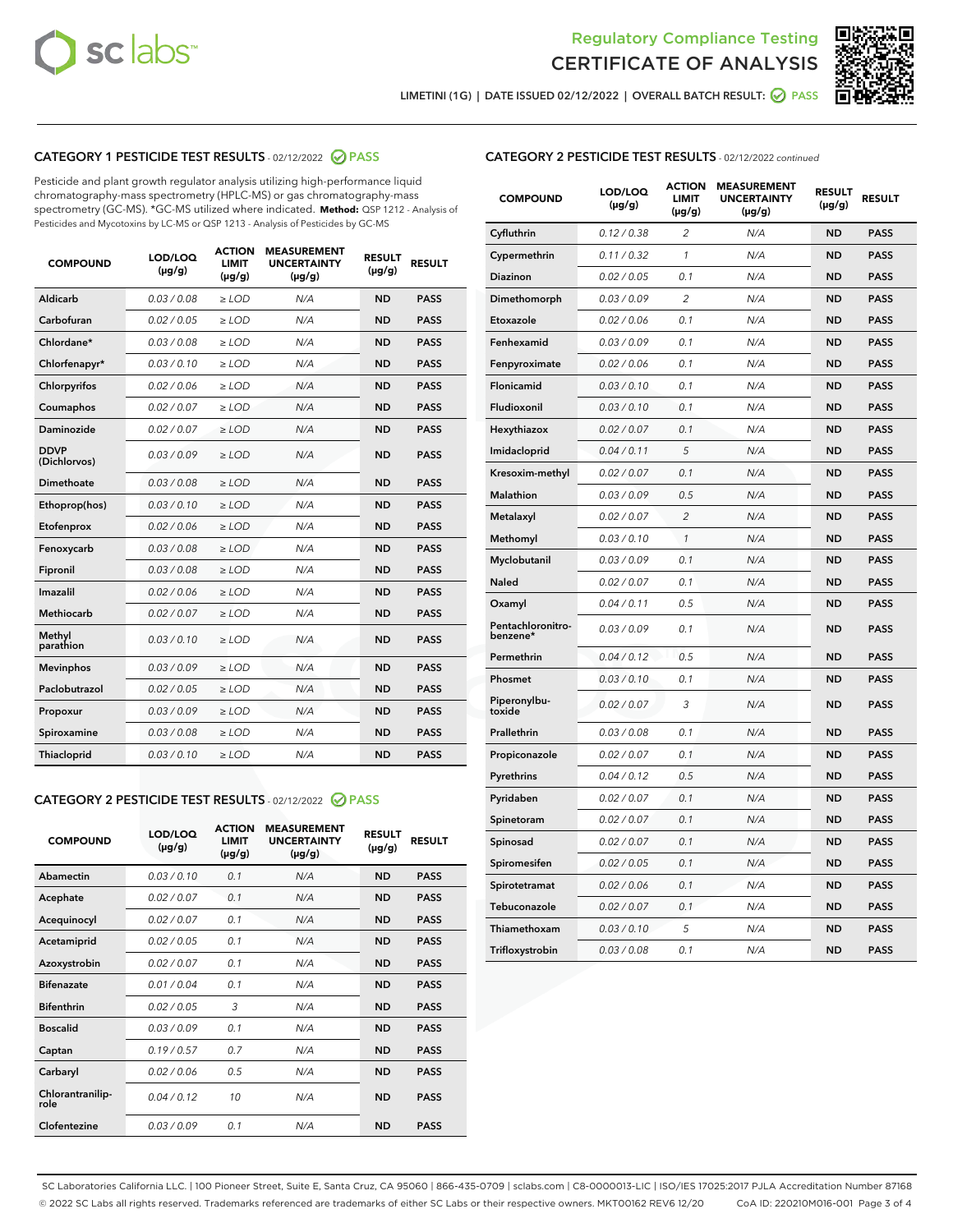



LIMETINI (1G) | DATE ISSUED 02/12/2022 | OVERALL BATCH RESULT:  $\bigotimes$  PASS

# CATEGORY 1 PESTICIDE TEST RESULTS - 02/12/2022 2 PASS

Pesticide and plant growth regulator analysis utilizing high-performance liquid chromatography-mass spectrometry (HPLC-MS) or gas chromatography-mass spectrometry (GC-MS). \*GC-MS utilized where indicated. **Method:** QSP 1212 - Analysis of Pesticides and Mycotoxins by LC-MS or QSP 1213 - Analysis of Pesticides by GC-MS

| 0.03 / 0.08<br><b>ND</b><br><b>PASS</b><br>Aldicarb<br>$\ge$ LOD<br>N/A<br>Carbofuran<br>0.02 / 0.05<br>$\geq$ LOD<br>N/A<br><b>ND</b><br><b>PASS</b><br>Chlordane*<br>0.03 / 0.08<br>$\ge$ LOD<br>N/A<br><b>ND</b><br><b>PASS</b><br>Chlorfenapyr*<br>0.03/0.10<br>$\geq$ LOD<br>N/A<br><b>ND</b><br><b>PASS</b><br>Chlorpyrifos<br>0.02 / 0.06<br>N/A<br><b>ND</b><br><b>PASS</b><br>$\ge$ LOD<br>Coumaphos<br>0.02 / 0.07<br>N/A<br><b>ND</b><br><b>PASS</b><br>$\ge$ LOD<br>Daminozide<br>0.02 / 0.07<br>N/A<br><b>ND</b><br><b>PASS</b><br>$\ge$ LOD<br><b>DDVP</b><br>0.03/0.09<br>$>$ LOD<br>N/A<br><b>ND</b><br><b>PASS</b><br>(Dichlorvos)<br>Dimethoate<br>0.03 / 0.08<br>$\ge$ LOD<br><b>ND</b><br><b>PASS</b><br>N/A<br>0.03/0.10<br>N/A<br><b>ND</b><br><b>PASS</b><br>Ethoprop(hos)<br>$>$ LOD<br>0.02 / 0.06<br>N/A<br><b>ND</b><br><b>PASS</b><br>$\ge$ LOD<br>Etofenprox<br>Fenoxycarb<br>0.03 / 0.08<br>$\ge$ LOD<br>N/A<br><b>ND</b><br><b>PASS</b><br>0.03 / 0.08<br>$\ge$ LOD<br>N/A<br><b>ND</b><br><b>PASS</b><br>Fipronil<br>Imazalil<br>0.02 / 0.06<br>$>$ LOD<br>N/A<br><b>ND</b><br><b>PASS</b><br><b>Methiocarb</b><br>0.02 / 0.07<br>$\ge$ LOD<br>N/A<br><b>ND</b><br><b>PASS</b><br>Methyl<br>0.03/0.10<br>N/A<br><b>ND</b><br><b>PASS</b><br>$\ge$ LOD<br>parathion<br>0.03/0.09<br><b>Mevinphos</b><br>$\ge$ LOD<br>N/A<br><b>ND</b><br><b>PASS</b><br>Paclobutrazol<br>0.02 / 0.05<br>$>$ LOD<br>N/A<br><b>ND</b><br><b>PASS</b><br>0.03/0.09<br>N/A<br>$\ge$ LOD<br><b>ND</b><br><b>PASS</b><br>Propoxur<br>0.03 / 0.08<br><b>ND</b><br><b>PASS</b><br>Spiroxamine<br>$\ge$ LOD<br>N/A<br>Thiacloprid<br>0.03/0.10<br>$\ge$ LOD<br>N/A<br><b>ND</b><br><b>PASS</b> | <b>COMPOUND</b> | LOD/LOQ<br>$(\mu g/g)$ | <b>ACTION</b><br><b>LIMIT</b><br>$(\mu g/g)$ | <b>MEASUREMENT</b><br><b>UNCERTAINTY</b><br>$(\mu g/g)$ | <b>RESULT</b><br>$(\mu g/g)$ | <b>RESULT</b> |
|------------------------------------------------------------------------------------------------------------------------------------------------------------------------------------------------------------------------------------------------------------------------------------------------------------------------------------------------------------------------------------------------------------------------------------------------------------------------------------------------------------------------------------------------------------------------------------------------------------------------------------------------------------------------------------------------------------------------------------------------------------------------------------------------------------------------------------------------------------------------------------------------------------------------------------------------------------------------------------------------------------------------------------------------------------------------------------------------------------------------------------------------------------------------------------------------------------------------------------------------------------------------------------------------------------------------------------------------------------------------------------------------------------------------------------------------------------------------------------------------------------------------------------------------------------------------------------------------------------------------------------------------------------------------------------------------------|-----------------|------------------------|----------------------------------------------|---------------------------------------------------------|------------------------------|---------------|
|                                                                                                                                                                                                                                                                                                                                                                                                                                                                                                                                                                                                                                                                                                                                                                                                                                                                                                                                                                                                                                                                                                                                                                                                                                                                                                                                                                                                                                                                                                                                                                                                                                                                                                      |                 |                        |                                              |                                                         |                              |               |
|                                                                                                                                                                                                                                                                                                                                                                                                                                                                                                                                                                                                                                                                                                                                                                                                                                                                                                                                                                                                                                                                                                                                                                                                                                                                                                                                                                                                                                                                                                                                                                                                                                                                                                      |                 |                        |                                              |                                                         |                              |               |
|                                                                                                                                                                                                                                                                                                                                                                                                                                                                                                                                                                                                                                                                                                                                                                                                                                                                                                                                                                                                                                                                                                                                                                                                                                                                                                                                                                                                                                                                                                                                                                                                                                                                                                      |                 |                        |                                              |                                                         |                              |               |
|                                                                                                                                                                                                                                                                                                                                                                                                                                                                                                                                                                                                                                                                                                                                                                                                                                                                                                                                                                                                                                                                                                                                                                                                                                                                                                                                                                                                                                                                                                                                                                                                                                                                                                      |                 |                        |                                              |                                                         |                              |               |
|                                                                                                                                                                                                                                                                                                                                                                                                                                                                                                                                                                                                                                                                                                                                                                                                                                                                                                                                                                                                                                                                                                                                                                                                                                                                                                                                                                                                                                                                                                                                                                                                                                                                                                      |                 |                        |                                              |                                                         |                              |               |
|                                                                                                                                                                                                                                                                                                                                                                                                                                                                                                                                                                                                                                                                                                                                                                                                                                                                                                                                                                                                                                                                                                                                                                                                                                                                                                                                                                                                                                                                                                                                                                                                                                                                                                      |                 |                        |                                              |                                                         |                              |               |
|                                                                                                                                                                                                                                                                                                                                                                                                                                                                                                                                                                                                                                                                                                                                                                                                                                                                                                                                                                                                                                                                                                                                                                                                                                                                                                                                                                                                                                                                                                                                                                                                                                                                                                      |                 |                        |                                              |                                                         |                              |               |
|                                                                                                                                                                                                                                                                                                                                                                                                                                                                                                                                                                                                                                                                                                                                                                                                                                                                                                                                                                                                                                                                                                                                                                                                                                                                                                                                                                                                                                                                                                                                                                                                                                                                                                      |                 |                        |                                              |                                                         |                              |               |
|                                                                                                                                                                                                                                                                                                                                                                                                                                                                                                                                                                                                                                                                                                                                                                                                                                                                                                                                                                                                                                                                                                                                                                                                                                                                                                                                                                                                                                                                                                                                                                                                                                                                                                      |                 |                        |                                              |                                                         |                              |               |
|                                                                                                                                                                                                                                                                                                                                                                                                                                                                                                                                                                                                                                                                                                                                                                                                                                                                                                                                                                                                                                                                                                                                                                                                                                                                                                                                                                                                                                                                                                                                                                                                                                                                                                      |                 |                        |                                              |                                                         |                              |               |
|                                                                                                                                                                                                                                                                                                                                                                                                                                                                                                                                                                                                                                                                                                                                                                                                                                                                                                                                                                                                                                                                                                                                                                                                                                                                                                                                                                                                                                                                                                                                                                                                                                                                                                      |                 |                        |                                              |                                                         |                              |               |
|                                                                                                                                                                                                                                                                                                                                                                                                                                                                                                                                                                                                                                                                                                                                                                                                                                                                                                                                                                                                                                                                                                                                                                                                                                                                                                                                                                                                                                                                                                                                                                                                                                                                                                      |                 |                        |                                              |                                                         |                              |               |
|                                                                                                                                                                                                                                                                                                                                                                                                                                                                                                                                                                                                                                                                                                                                                                                                                                                                                                                                                                                                                                                                                                                                                                                                                                                                                                                                                                                                                                                                                                                                                                                                                                                                                                      |                 |                        |                                              |                                                         |                              |               |
|                                                                                                                                                                                                                                                                                                                                                                                                                                                                                                                                                                                                                                                                                                                                                                                                                                                                                                                                                                                                                                                                                                                                                                                                                                                                                                                                                                                                                                                                                                                                                                                                                                                                                                      |                 |                        |                                              |                                                         |                              |               |
|                                                                                                                                                                                                                                                                                                                                                                                                                                                                                                                                                                                                                                                                                                                                                                                                                                                                                                                                                                                                                                                                                                                                                                                                                                                                                                                                                                                                                                                                                                                                                                                                                                                                                                      |                 |                        |                                              |                                                         |                              |               |
|                                                                                                                                                                                                                                                                                                                                                                                                                                                                                                                                                                                                                                                                                                                                                                                                                                                                                                                                                                                                                                                                                                                                                                                                                                                                                                                                                                                                                                                                                                                                                                                                                                                                                                      |                 |                        |                                              |                                                         |                              |               |
|                                                                                                                                                                                                                                                                                                                                                                                                                                                                                                                                                                                                                                                                                                                                                                                                                                                                                                                                                                                                                                                                                                                                                                                                                                                                                                                                                                                                                                                                                                                                                                                                                                                                                                      |                 |                        |                                              |                                                         |                              |               |
|                                                                                                                                                                                                                                                                                                                                                                                                                                                                                                                                                                                                                                                                                                                                                                                                                                                                                                                                                                                                                                                                                                                                                                                                                                                                                                                                                                                                                                                                                                                                                                                                                                                                                                      |                 |                        |                                              |                                                         |                              |               |
|                                                                                                                                                                                                                                                                                                                                                                                                                                                                                                                                                                                                                                                                                                                                                                                                                                                                                                                                                                                                                                                                                                                                                                                                                                                                                                                                                                                                                                                                                                                                                                                                                                                                                                      |                 |                        |                                              |                                                         |                              |               |
|                                                                                                                                                                                                                                                                                                                                                                                                                                                                                                                                                                                                                                                                                                                                                                                                                                                                                                                                                                                                                                                                                                                                                                                                                                                                                                                                                                                                                                                                                                                                                                                                                                                                                                      |                 |                        |                                              |                                                         |                              |               |
|                                                                                                                                                                                                                                                                                                                                                                                                                                                                                                                                                                                                                                                                                                                                                                                                                                                                                                                                                                                                                                                                                                                                                                                                                                                                                                                                                                                                                                                                                                                                                                                                                                                                                                      |                 |                        |                                              |                                                         |                              |               |

# CATEGORY 2 PESTICIDE TEST RESULTS - 02/12/2022 2 PASS

| <b>COMPOUND</b>          | LOD/LOO<br>$(\mu g/g)$ | <b>ACTION</b><br>LIMIT<br>$(\mu g/g)$ | <b>MEASUREMENT</b><br><b>UNCERTAINTY</b><br>$(\mu g/g)$ | <b>RESULT</b><br>$(\mu g/g)$ | <b>RESULT</b> |  |
|--------------------------|------------------------|---------------------------------------|---------------------------------------------------------|------------------------------|---------------|--|
| Abamectin                | 0.03/0.10              | 0.1                                   | N/A                                                     | <b>ND</b>                    | <b>PASS</b>   |  |
| Acephate                 | 0.02/0.07              | 0.1                                   | N/A                                                     | <b>ND</b>                    | <b>PASS</b>   |  |
| Acequinocyl              | 0.02/0.07              | 0.1                                   | N/A                                                     | <b>ND</b>                    | <b>PASS</b>   |  |
| Acetamiprid              | 0.02 / 0.05            | 0.1                                   | N/A                                                     | <b>ND</b>                    | <b>PASS</b>   |  |
| Azoxystrobin             | 0.02/0.07              | 0.1                                   | N/A                                                     | <b>ND</b>                    | <b>PASS</b>   |  |
| <b>Bifenazate</b>        | 0.01 / 0.04            | 0.1                                   | N/A                                                     | <b>ND</b>                    | <b>PASS</b>   |  |
| <b>Bifenthrin</b>        | 0.02 / 0.05            | 3                                     | N/A                                                     | <b>ND</b>                    | <b>PASS</b>   |  |
| <b>Boscalid</b>          | 0.03/0.09              | 0.1                                   | N/A                                                     | <b>ND</b>                    | <b>PASS</b>   |  |
| Captan                   | 0.19/0.57              | 0.7                                   | N/A                                                     | <b>ND</b>                    | <b>PASS</b>   |  |
| Carbaryl                 | 0.02/0.06              | 0.5                                   | N/A                                                     | <b>ND</b>                    | <b>PASS</b>   |  |
| Chlorantranilip-<br>role | 0.04/0.12              | 10                                    | N/A                                                     | <b>ND</b>                    | <b>PASS</b>   |  |
| Clofentezine             | 0.03/0.09              | 0.1                                   | N/A                                                     | <b>ND</b>                    | <b>PASS</b>   |  |

| <b>CATEGORY 2 PESTICIDE TEST RESULTS</b> - 02/12/2022 continued |  |  |
|-----------------------------------------------------------------|--|--|
|                                                                 |  |  |

| <b>COMPOUND</b>               | LOD/LOQ<br>$(\mu g/g)$ | <b>ACTION</b><br>LIMIT<br>(µg/g) | <b>MEASUREMENT</b><br><b>UNCERTAINTY</b><br>(µg/g) | <b>RESULT</b><br>$(\mu g/g)$ | <b>RESULT</b> |
|-------------------------------|------------------------|----------------------------------|----------------------------------------------------|------------------------------|---------------|
| Cyfluthrin                    | 0.12 / 0.38            | $\overline{c}$                   | N/A                                                | ND                           | <b>PASS</b>   |
| Cypermethrin                  | 0.11 / 0.32            | 1                                | N/A                                                | <b>ND</b>                    | <b>PASS</b>   |
| Diazinon                      | 0.02 / 0.05            | 0.1                              | N/A                                                | <b>ND</b>                    | <b>PASS</b>   |
| Dimethomorph                  | 0.03 / 0.09            | 2                                | N/A                                                | <b>ND</b>                    | <b>PASS</b>   |
| Etoxazole                     | 0.02 / 0.06            | 0.1                              | N/A                                                | <b>ND</b>                    | <b>PASS</b>   |
| Fenhexamid                    | 0.03 / 0.09            | 0.1                              | N/A                                                | <b>ND</b>                    | <b>PASS</b>   |
| Fenpyroximate                 | 0.02 / 0.06            | 0.1                              | N/A                                                | <b>ND</b>                    | <b>PASS</b>   |
| Flonicamid                    | 0.03 / 0.10            | 0.1                              | N/A                                                | <b>ND</b>                    | <b>PASS</b>   |
| Fludioxonil                   | 0.03/0.10              | 0.1                              | N/A                                                | <b>ND</b>                    | <b>PASS</b>   |
| Hexythiazox                   | 0.02 / 0.07            | 0.1                              | N/A                                                | <b>ND</b>                    | <b>PASS</b>   |
| Imidacloprid                  | 0.04 / 0.11            | 5                                | N/A                                                | <b>ND</b>                    | <b>PASS</b>   |
| Kresoxim-methyl               | 0.02 / 0.07            | 0.1                              | N/A                                                | <b>ND</b>                    | <b>PASS</b>   |
| <b>Malathion</b>              | 0.03 / 0.09            | 0.5                              | N/A                                                | <b>ND</b>                    | <b>PASS</b>   |
| Metalaxyl                     | 0.02 / 0.07            | $\overline{c}$                   | N/A                                                | <b>ND</b>                    | <b>PASS</b>   |
| Methomyl                      | 0.03 / 0.10            | $\mathcal{I}$                    | N/A                                                | <b>ND</b>                    | <b>PASS</b>   |
| Myclobutanil                  | 0.03 / 0.09            | 0.1                              | N/A                                                | <b>ND</b>                    | <b>PASS</b>   |
| Naled                         | 0.02 / 0.07            | 0.1                              | N/A                                                | <b>ND</b>                    | <b>PASS</b>   |
| Oxamyl                        | 0.04 / 0.11            | 0.5                              | N/A                                                | <b>ND</b>                    | <b>PASS</b>   |
| Pentachloronitro-<br>benzene* | 0.03/0.09              | 0.1                              | N/A                                                | <b>ND</b>                    | <b>PASS</b>   |
| Permethrin                    | 0.04 / 0.12            | 0.5                              | N/A                                                | <b>ND</b>                    | <b>PASS</b>   |
| Phosmet                       | 0.03 / 0.10            | 0.1                              | N/A                                                | <b>ND</b>                    | <b>PASS</b>   |
| Piperonylbu-<br>toxide        | 0.02 / 0.07            | 3                                | N/A                                                | <b>ND</b>                    | <b>PASS</b>   |
| Prallethrin                   | 0.03 / 0.08            | 0.1                              | N/A                                                | <b>ND</b>                    | <b>PASS</b>   |
| Propiconazole                 | 0.02 / 0.07            | 0.1                              | N/A                                                | <b>ND</b>                    | <b>PASS</b>   |
| Pyrethrins                    | 0.04 / 0.12            | 0.5                              | N/A                                                | <b>ND</b>                    | <b>PASS</b>   |
| Pyridaben                     | 0.02 / 0.07            | 0.1                              | N/A                                                | <b>ND</b>                    | <b>PASS</b>   |
| Spinetoram                    | 0.02 / 0.07            | 0.1                              | N/A                                                | ND                           | <b>PASS</b>   |
| Spinosad                      | 0.02 / 0.07            | 0.1                              | N/A                                                | <b>ND</b>                    | <b>PASS</b>   |
| Spiromesifen                  | 0.02 / 0.05            | 0.1                              | N/A                                                | <b>ND</b>                    | <b>PASS</b>   |
| Spirotetramat                 | 0.02 / 0.06            | 0.1                              | N/A                                                | <b>ND</b>                    | <b>PASS</b>   |
| Tebuconazole                  | 0.02 / 0.07            | 0.1                              | N/A                                                | ND                           | <b>PASS</b>   |
| Thiamethoxam                  | 0.03 / 0.10            | 5                                | N/A                                                | <b>ND</b>                    | <b>PASS</b>   |
| Trifloxystrobin               | 0.03 / 0.08            | 0.1                              | N/A                                                | <b>ND</b>                    | <b>PASS</b>   |

SC Laboratories California LLC. | 100 Pioneer Street, Suite E, Santa Cruz, CA 95060 | 866-435-0709 | sclabs.com | C8-0000013-LIC | ISO/IES 17025:2017 PJLA Accreditation Number 87168 © 2022 SC Labs all rights reserved. Trademarks referenced are trademarks of either SC Labs or their respective owners. MKT00162 REV6 12/20 CoA ID: 220210M016-001 Page 3 of 4